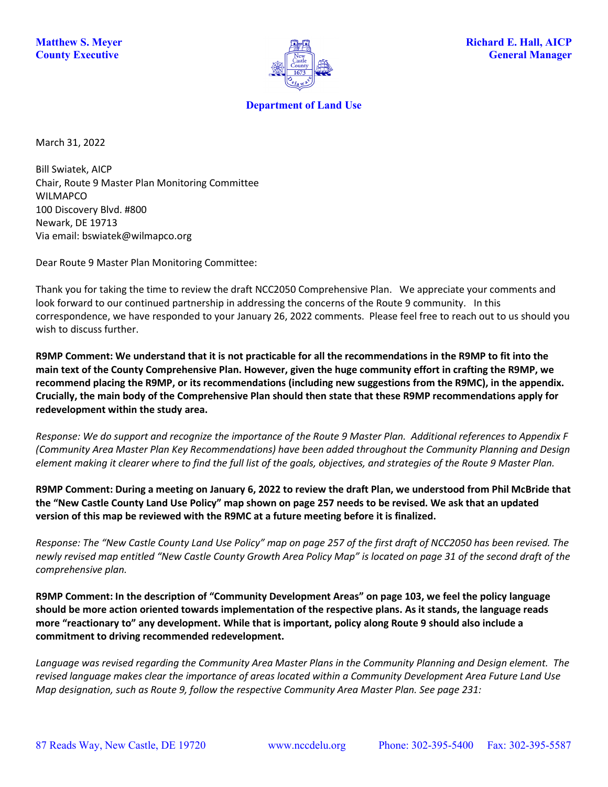

**Department of Land Use**

March 31, 2022

Bill Swiatek, AICP Chair, Route 9 Master Plan Monitoring Committee WILMAPCO 100 Discovery Blvd. #800 Newark, DE 19713 Via email: bswiatek@wilmapco.org

Dear Route 9 Master Plan Monitoring Committee:

Thank you for taking the time to review the draft NCC2050 Comprehensive Plan. We appreciate your comments and look forward to our continued partnership in addressing the concerns of the Route 9 community. In this correspondence, we have responded to your January 26, 2022 comments. Please feel free to reach out to us should you wish to discuss further.

**R9MP Comment: We understand that it is not practicable for all the recommendations in the R9MP to fit into the main text of the County Comprehensive Plan. However, given the huge community effort in crafting the R9MP, we recommend placing the R9MP, or its recommendations (including new suggestions from the R9MC), in the appendix. Crucially, the main body of the Comprehensive Plan should then state that these R9MP recommendations apply for redevelopment within the study area.**

*Response: We do support and recognize the importance of the Route 9 Master Plan. Additional references to Appendix F (Community Area Master Plan Key Recommendations) have been added throughout the Community Planning and Design element making it clearer where to find the full list of the goals, objectives, and strategies of the Route 9 Master Plan.* 

**R9MP Comment: During a meeting on January 6, 2022 to review the draft Plan, we understood from Phil McBride that the "New Castle County Land Use Policy" map shown on page 257 needs to be revised. We ask that an updated version of this map be reviewed with the R9MC at a future meeting before it is finalized.** 

*Response: The "New Castle County Land Use Policy" map on page 257 of the first draft of NCC2050 has been revised. The newly revised map entitled "New Castle County Growth Area Policy Map" is located on page 31 of the second draft of the comprehensive plan.* 

**R9MP Comment: In the description of "Community Development Areas" on page 103, we feel the policy language should be more action oriented towards implementation of the respective plans. As it stands, the language reads more "reactionary to" any development. While that is important, policy along Route 9 should also include a commitment to driving recommended redevelopment.**

*Language was revised regarding the Community Area Master Plans in the Community Planning and Design element. The revised language makes clear the importance of areas located within a Community Development Area Future Land Use Map designation, such as Route 9, follow the respective Community Area Master Plan. See page 231:*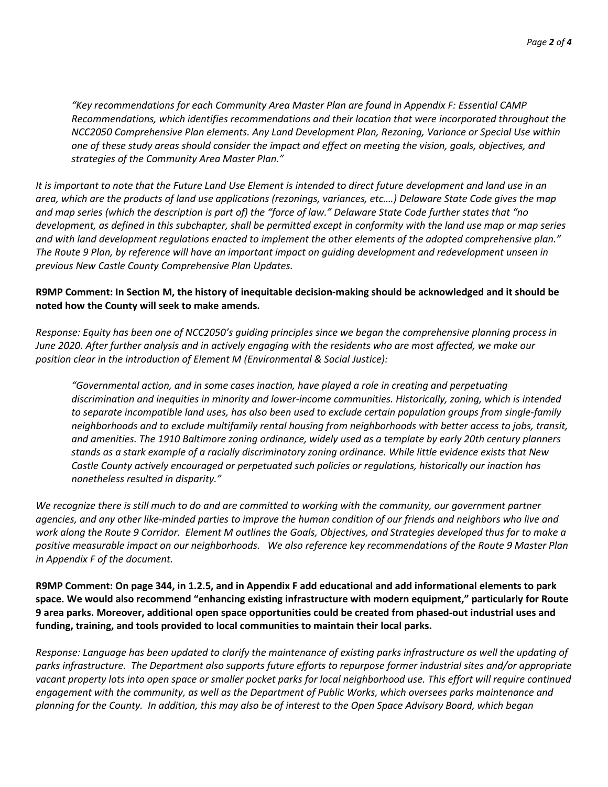*"Key recommendations for each Community Area Master Plan are found in Appendix F: Essential CAMP Recommendations, which identifies recommendations and their location that were incorporated throughout the NCC2050 Comprehensive Plan elements. Any Land Development Plan, Rezoning, Variance or Special Use within one of these study areas should consider the impact and effect on meeting the vision, goals, objectives, and strategies of the Community Area Master Plan."*

*It is important to note that the Future Land Use Element is intended to direct future development and land use in an area, which are the products of land use applications (rezonings, variances, etc.…) Delaware State Code gives the map and map series (which the description is part of) the "force of law." Delaware State Code further states that "no development, as defined in this subchapter, shall be permitted except in conformity with the land use map or map series and with land development regulations enacted to implement the other elements of the adopted comprehensive plan." The Route 9 Plan, by reference will have an important impact on guiding development and redevelopment unseen in previous New Castle County Comprehensive Plan Updates.* 

## **R9MP Comment: In Section M, the history of inequitable decision-making should be acknowledged and it should be noted how the County will seek to make amends.**

*Response: Equity has been one of NCC2050's guiding principles since we began the comprehensive planning process in June 2020. After further analysis and in actively engaging with the residents who are most affected, we make our position clear in the introduction of Element M (Environmental & Social Justice):*

*"Governmental action, and in some cases inaction, have played a role in creating and perpetuating discrimination and inequities in minority and lower-income communities. Historically, zoning, which is intended to separate incompatible land uses, has also been used to exclude certain population groups from single-family neighborhoods and to exclude multifamily rental housing from neighborhoods with better access to jobs, transit, and amenities. The 1910 Baltimore zoning ordinance, widely used as a template by early 20th century planners stands as a stark example of a racially discriminatory zoning ordinance. While little evidence exists that New Castle County actively encouraged or perpetuated such policies or regulations, historically our inaction has nonetheless resulted in disparity."*

*We recognize there is still much to do and are committed to working with the community, our government partner agencies, and any other like-minded parties to improve the human condition of our friends and neighbors who live and work along the Route 9 Corridor. Element M outlines the Goals, Objectives, and Strategies developed thus far to make a positive measurable impact on our neighborhoods. We also reference key recommendations of the Route 9 Master Plan in Appendix F of the document.* 

**R9MP Comment: On page 344, in 1.2.5, and in Appendix F add educational and add informational elements to park space. We would also recommend "enhancing existing infrastructure with modern equipment," particularly for Route 9 area parks. Moreover, additional open space opportunities could be created from phased-out industrial uses and funding, training, and tools provided to local communities to maintain their local parks.**

*Response: Language has been updated to clarify the maintenance of existing parks infrastructure as well the updating of parks infrastructure. The Department also supports future efforts to repurpose former industrial sites and/or appropriate vacant property lots into open space or smaller pocket parks for local neighborhood use. This effort will require continued engagement with the community, as well as the Department of Public Works, which oversees parks maintenance and planning for the County. In addition, this may also be of interest to the Open Space Advisory Board, which began*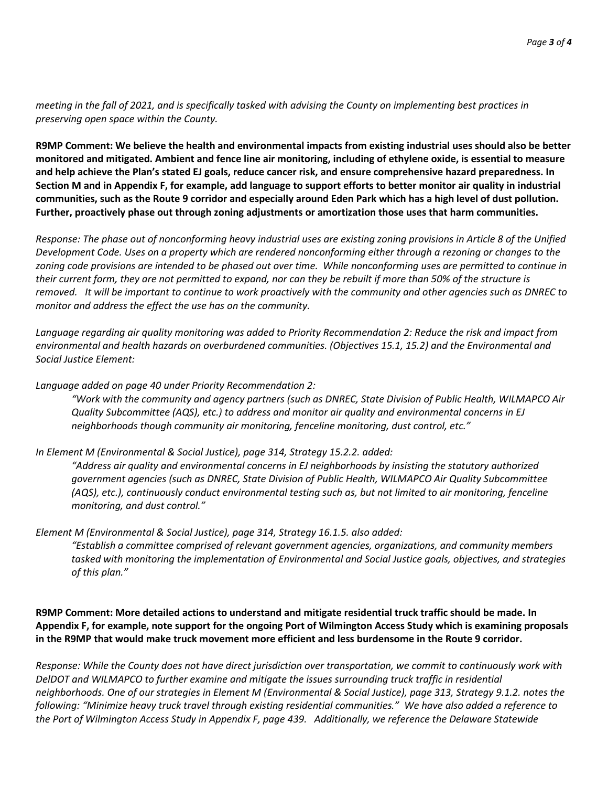*meeting in the fall of 2021, and is specifically tasked with advising the County on implementing best practices in preserving open space within the County.* 

**R9MP Comment: We believe the health and environmental impacts from existing industrial uses should also be better monitored and mitigated. Ambient and fence line air monitoring, including of ethylene oxide, is essential to measure and help achieve the Plan's stated EJ goals, reduce cancer risk, and ensure comprehensive hazard preparedness. In Section M and in Appendix F, for example, add language to support efforts to better monitor air quality in industrial communities, such as the Route 9 corridor and especially around Eden Park which has a high level of dust pollution. Further, proactively phase out through zoning adjustments or amortization those uses that harm communities.**

*Response: The phase out of nonconforming heavy industrial uses are existing zoning provisions in Article 8 of the Unified Development Code. Uses on a property which are rendered nonconforming either through a rezoning or changes to the zoning code provisions are intended to be phased out over time. While nonconforming uses are permitted to continue in their current form, they are not permitted to expand, nor can they be rebuilt if more than 50% of the structure is removed. It will be important to continue to work proactively with the community and other agencies such as DNREC to monitor and address the effect the use has on the community.* 

*Language regarding air quality monitoring was added to Priority Recommendation 2: Reduce the risk and impact from environmental and health hazards on overburdened communities. (Objectives 15.1, 15.2) and the Environmental and Social Justice Element:*

## *Language added on page 40 under Priority Recommendation 2:*

*"Work with the community and agency partners (such as DNREC, State Division of Public Health, WILMAPCO Air Quality Subcommittee (AQS), etc.) to address and monitor air quality and environmental concerns in EJ neighborhoods though community air monitoring, fenceline monitoring, dust control, etc."*

## *In Element M (Environmental & Social Justice), page 314, Strategy 15.2.2. added:*

*"Address air quality and environmental concerns in EJ neighborhoods by insisting the statutory authorized government agencies (such as DNREC, State Division of Public Health, WILMAPCO Air Quality Subcommittee (AQS), etc.), continuously conduct environmental testing such as, but not limited to air monitoring, fenceline monitoring, and dust control."*

## *Element M (Environmental & Social Justice), page 314, Strategy 16.1.5. also added:*

*"Establish a committee comprised of relevant government agencies, organizations, and community members tasked with monitoring the implementation of Environmental and Social Justice goals, objectives, and strategies of this plan."*

**R9MP Comment: More detailed actions to understand and mitigate residential truck traffic should be made. In Appendix F, for example, note support for the ongoing Port of Wilmington Access Study which is examining proposals in the R9MP that would make truck movement more efficient and less burdensome in the Route 9 corridor.**

*Response: While the County does not have direct jurisdiction over transportation, we commit to continuously work with DelDOT and WILMAPCO to further examine and mitigate the issues surrounding truck traffic in residential neighborhoods. One of our strategies in Element M (Environmental & Social Justice), page 313, Strategy 9.1.2. notes the following: "Minimize heavy truck travel through existing residential communities." We have also added a reference to the Port of Wilmington Access Study in Appendix F, page 439. Additionally, we reference the Delaware Statewide*